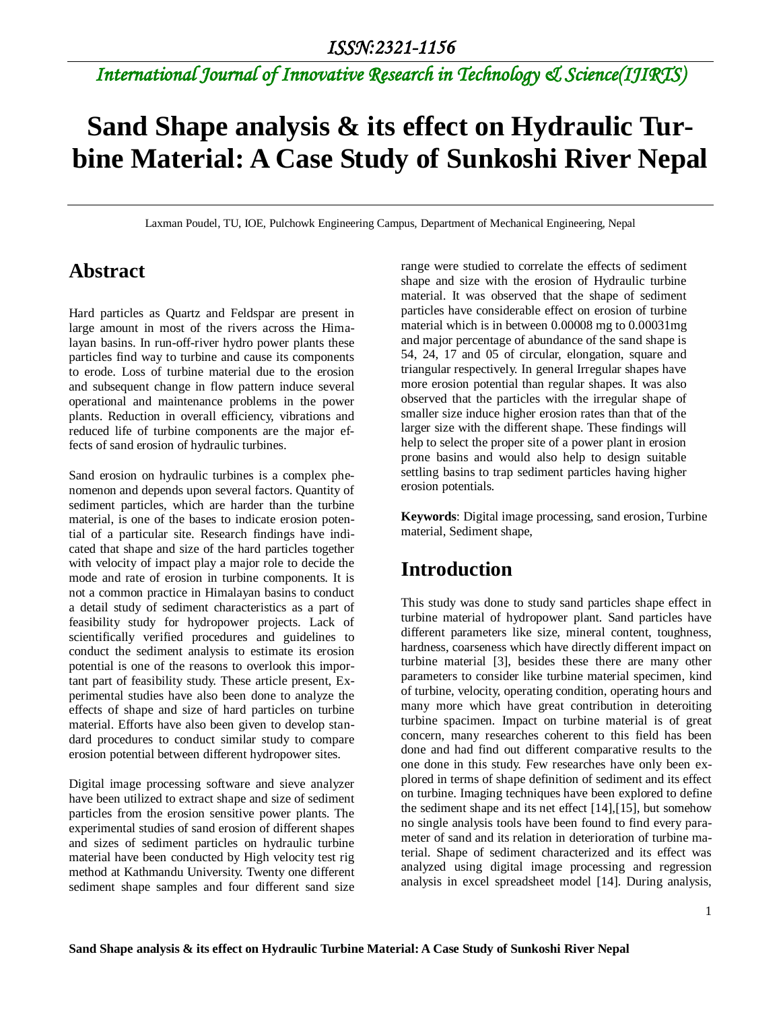# **Sand Shape analysis & its effect on Hydraulic Turbine Material: A Case Study of Sunkoshi River Nepal**

Laxman Poudel, TU, IOE, Pulchowk Engineering Campus, Department of Mechanical Engineering, Nepal

#### **Abstract**

Hard particles as Quartz and Feldspar are present in large amount in most of the rivers across the Himalayan basins. In run-off-river hydro power plants these particles find way to turbine and cause its components to erode. Loss of turbine material due to the erosion and subsequent change in flow pattern induce several operational and maintenance problems in the power plants. Reduction in overall efficiency, vibrations and reduced life of turbine components are the major effects of sand erosion of hydraulic turbines.

Sand erosion on hydraulic turbines is a complex phenomenon and depends upon several factors. Quantity of sediment particles, which are harder than the turbine material, is one of the bases to indicate erosion potential of a particular site. Research findings have indicated that shape and size of the hard particles together with velocity of impact play a major role to decide the mode and rate of erosion in turbine components. It is not a common practice in Himalayan basins to conduct a detail study of sediment characteristics as a part of feasibility study for hydropower projects. Lack of scientifically verified procedures and guidelines to conduct the sediment analysis to estimate its erosion potential is one of the reasons to overlook this important part of feasibility study. These article present, Experimental studies have also been done to analyze the effects of shape and size of hard particles on turbine material. Efforts have also been given to develop standard procedures to conduct similar study to compare erosion potential between different hydropower sites.

Digital image processing software and sieve analyzer have been utilized to extract shape and size of sediment particles from the erosion sensitive power plants. The experimental studies of sand erosion of different shapes and sizes of sediment particles on hydraulic turbine material have been conducted by High velocity test rig method at Kathmandu University. Twenty one different sediment shape samples and four different sand size range were studied to correlate the effects of sediment shape and size with the erosion of Hydraulic turbine material. It was observed that the shape of sediment particles have considerable effect on erosion of turbine material which is in between 0.00008 mg to 0.00031mg and major percentage of abundance of the sand shape is 54, 24, 17 and 05 of circular, elongation, square and triangular respectively. In general Irregular shapes have more erosion potential than regular shapes. It was also observed that the particles with the irregular shape of smaller size induce higher erosion rates than that of the larger size with the different shape. These findings will help to select the proper site of a power plant in erosion prone basins and would also help to design suitable settling basins to trap sediment particles having higher erosion potentials.

**Keywords**: Digital image processing, sand erosion, Turbine material, Sediment shape,

### **Introduction**

This study was done to study sand particles shape effect in turbine material of hydropower plant. Sand particles have different parameters like size, mineral content, toughness, hardness, coarseness which have directly different impact on turbine material [3], besides these there are many other parameters to consider like turbine material specimen, kind of turbine, velocity, operating condition, operating hours and many more which have great contribution in deteroiting turbine spacimen. Impact on turbine material is of great concern, many researches coherent to this field has been done and had find out different comparative results to the one done in this study. Few researches have only been explored in terms of shape definition of sediment and its effect on turbine. Imaging techniques have been explored to define the sediment shape and its net effect [14],[15], but somehow no single analysis tools have been found to find every parameter of sand and its relation in deterioration of turbine material. Shape of sediment characterized and its effect was analyzed using digital image processing and regression analysis in excel spreadsheet model [14]. During analysis,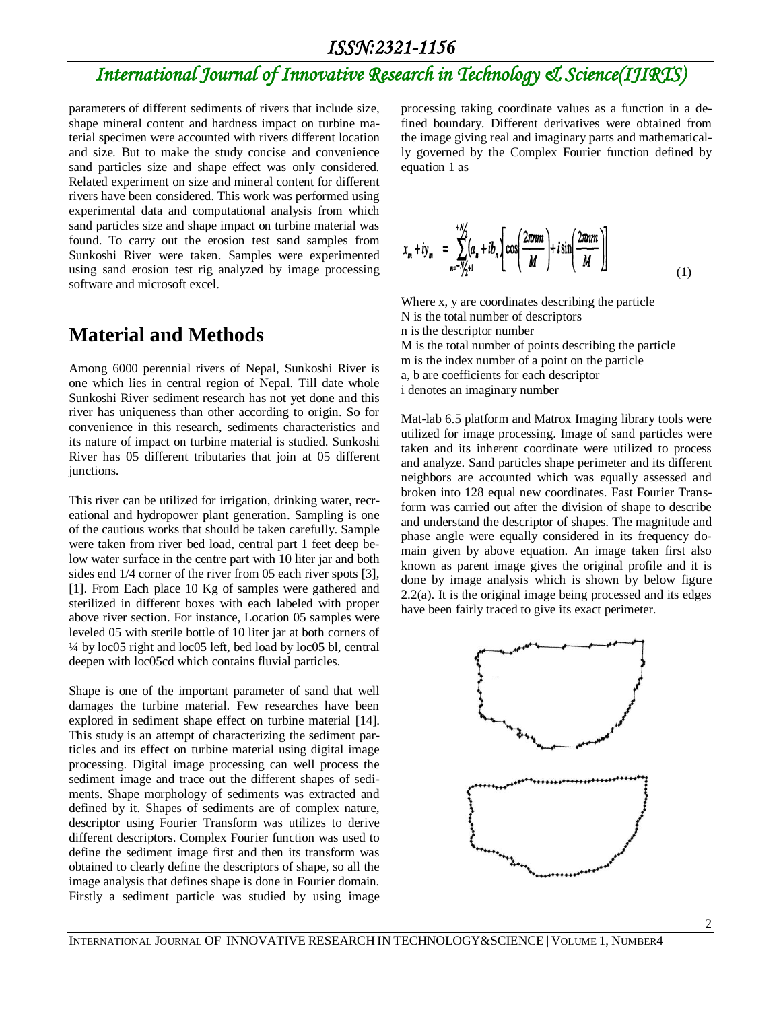## *International Journal of Innovative Research in Technology & Science(IJIRTS)*

parameters of different sediments of rivers that include size, shape mineral content and hardness impact on turbine material specimen were accounted with rivers different location and size. But to make the study concise and convenience sand particles size and shape effect was only considered. Related experiment on size and mineral content for different rivers have been considered. This work was performed using experimental data and computational analysis from which sand particles size and shape impact on turbine material was found. To carry out the erosion test sand samples from Sunkoshi River were taken. Samples were experimented using sand erosion test rig analyzed by image processing software and microsoft excel.

#### **Material and Methods**

Among 6000 perennial rivers of Nepal, Sunkoshi River is one which lies in central region of Nepal. Till date whole Sunkoshi River sediment research has not yet done and this river has uniqueness than other according to origin. So for convenience in this research, sediments characteristics and its nature of impact on turbine material is studied. Sunkoshi River has 05 different tributaries that join at 05 different junctions.

This river can be utilized for irrigation, drinking water, recreational and hydropower plant generation. Sampling is one of the cautious works that should be taken carefully. Sample were taken from river bed load, central part 1 feet deep below water surface in the centre part with 10 liter jar and both sides end 1/4 corner of the river from 05 each river spots [3], [1]. From Each place 10 Kg of samples were gathered and sterilized in different boxes with each labeled with proper above river section. For instance, Location 05 samples were leveled 05 with sterile bottle of 10 liter jar at both corners of ¼ by loc05 right and loc05 left, bed load by loc05 bl, central deepen with loc05cd which contains fluvial particles.

Shape is one of the important parameter of sand that well damages the turbine material. Few researches have been explored in sediment shape effect on turbine material [14]. This study is an attempt of characterizing the sediment particles and its effect on turbine material using digital image processing. Digital image processing can well process the sediment image and trace out the different shapes of sediments. Shape morphology of sediments was extracted and defined by it. Shapes of sediments are of complex nature, descriptor using Fourier Transform was utilizes to derive different descriptors. Complex Fourier function was used to define the sediment image first and then its transform was obtained to clearly define the descriptors of shape, so all the image analysis that defines shape is done in Fourier domain. Firstly a sediment particle was studied by using image

processing taking coordinate values as a function in a defined boundary. Different derivatives were obtained from the image giving real and imaginary parts and mathematically governed by the Complex Fourier function defined by equation 1 as

$$
x_m + iy_m = \sum_{n=-N/2+1}^{+N/2} (a_n + ib_n) \left[ \cos\left(\frac{2\pi n m}{M}\right) + i \sin\left(\frac{2\pi n m}{M}\right) \right]
$$
(1)

Where x, y are coordinates describing the particle N is the total number of descriptors n is the descriptor number M is the total number of points describing the particle m is the index number of a point on the particle a, b are coefficients for each descriptor i denotes an imaginary number

Mat-lab 6.5 platform and Matrox Imaging library tools were utilized for image processing. Image of sand particles were taken and its inherent coordinate were utilized to process and analyze. Sand particles shape perimeter and its different neighbors are accounted which was equally assessed and broken into 128 equal new coordinates. Fast Fourier Transform was carried out after the division of shape to describe and understand the descriptor of shapes. The magnitude and phase angle were equally considered in its frequency domain given by above equation. An image taken first also known as parent image gives the original profile and it is done by image analysis which is shown by below figure 2.2(a). It is the original image being processed and its edges have been fairly traced to give its exact perimeter.

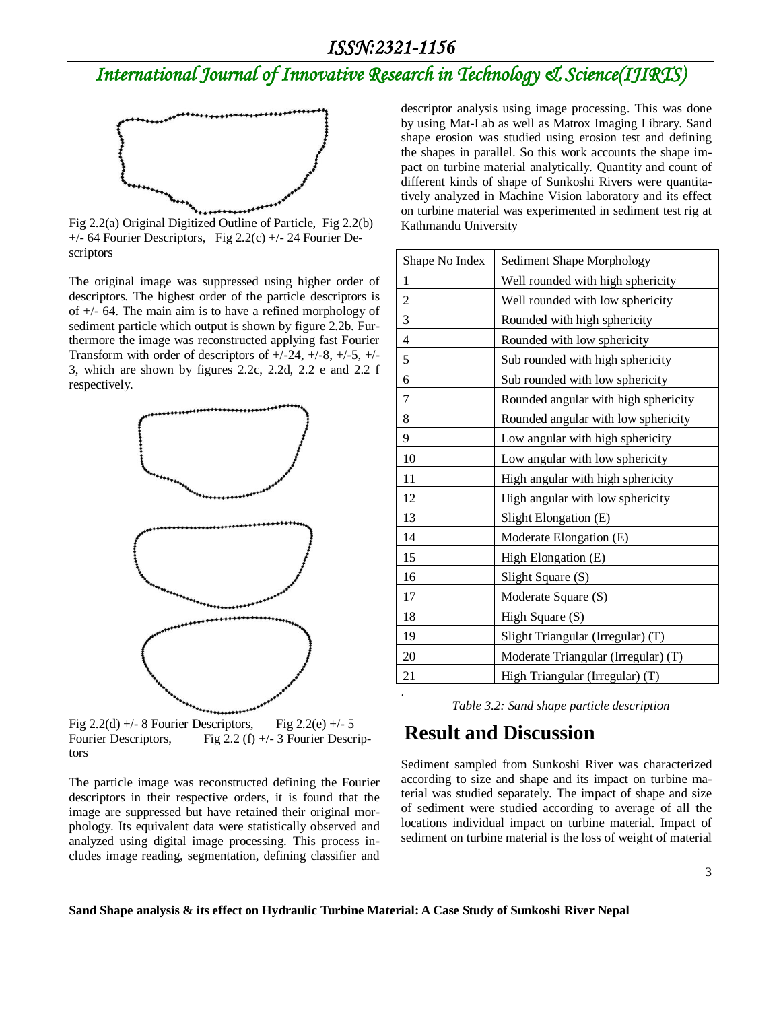### *International Journal of Innovative Research in Technology & Science(IJIRTS)*



Fig 2.2(a) Original Digitized Outline of Particle, Fig 2.2(b)  $+/-$  64 Fourier Descriptors, Fig 2.2(c)  $+/-$  24 Fourier Descriptors

The original image was suppressed using higher order of descriptors. The highest order of the particle descriptors is of +/- 64. The main aim is to have a refined morphology of sediment particle which output is shown by figure 2.2b. Furthermore the image was reconstructed applying fast Fourier Transform with order of descriptors of  $+/-24$ ,  $+/-8$ ,  $+/-5$ ,  $+/-$ 3, which are shown by figures 2.2c, 2.2d, 2.2 e and 2.2 f respectively.



Fig 2.2(d) +/- 8 Fourier Descriptors, Fig 2.2(e) +/- 5 Fourier Descriptors, Fig 2.2 (f) +/- 3 Fourier Descriptors

The particle image was reconstructed defining the Fourier descriptors in their respective orders, it is found that the image are suppressed but have retained their original morphology. Its equivalent data were statistically observed and analyzed using digital image processing. This process includes image reading, segmentation, defining classifier and descriptor analysis using image processing. This was done by using Mat-Lab as well as Matrox Imaging Library. Sand shape erosion was studied using erosion test and defining the shapes in parallel. So this work accounts the shape impact on turbine material analytically. Quantity and count of different kinds of shape of Sunkoshi Rivers were quantitatively analyzed in Machine Vision laboratory and its effect on turbine material was experimented in sediment test rig at Kathmandu University

| Shape No Index   | Sediment Shape Morphology            |
|------------------|--------------------------------------|
| $\mathbf{1}$     | Well rounded with high sphericity    |
| $\overline{c}$   | Well rounded with low sphericity     |
| $\mathfrak{Z}$   | Rounded with high sphericity         |
| $\overline{4}$   | Rounded with low sphericity          |
| 5                | Sub rounded with high sphericity     |
| 6                | Sub rounded with low sphericity      |
| $\boldsymbol{7}$ | Rounded angular with high sphericity |
| 8                | Rounded angular with low sphericity  |
| 9                | Low angular with high sphericity     |
| 10               | Low angular with low sphericity      |
| 11               | High angular with high sphericity    |
| 12               | High angular with low sphericity     |
| 13               | Slight Elongation (E)                |
| 14               | Moderate Elongation (E)              |
| 15               | High Elongation (E)                  |
| 16               | Slight Square (S)                    |
| 17               | Moderate Square (S)                  |
| 18               | High Square (S)                      |
| 19               | Slight Triangular (Irregular) (T)    |
| 20               | Moderate Triangular (Irregular) (T)  |
| 21               | High Triangular (Irregular) (T)      |
|                  |                                      |

*Table 3.2: Sand shape particle description*

#### **Result and Discussion**

Sediment sampled from Sunkoshi River was characterized according to size and shape and its impact on turbine material was studied separately. The impact of shape and size of sediment were studied according to average of all the locations individual impact on turbine material. Impact of sediment on turbine material is the loss of weight of material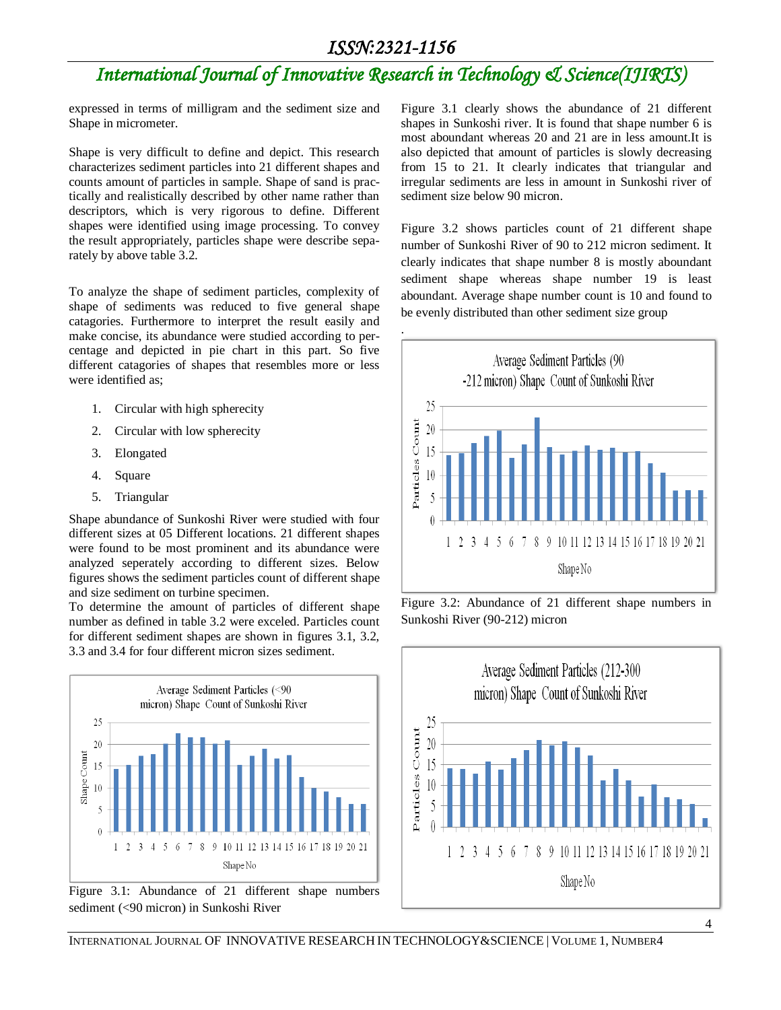expressed in terms of milligram and the sediment size and Shape in micrometer.

Shape is very difficult to define and depict. This research characterizes sediment particles into 21 different shapes and counts amount of particles in sample. Shape of sand is practically and realistically described by other name rather than descriptors, which is very rigorous to define. Different shapes were identified using image processing. To convey the result appropriately, particles shape were describe separately by above table 3.2.

To analyze the shape of sediment particles, complexity of shape of sediments was reduced to five general shape catagories. Furthermore to interpret the result easily and make concise, its abundance were studied according to percentage and depicted in pie chart in this part. So five different catagories of shapes that resembles more or less were identified as;

- 1. Circular with high spherecity
- 2. Circular with low spherecity
- 3. Elongated
- 4. Square
- 5. Triangular

Shape abundance of Sunkoshi River were studied with four different sizes at 05 Different locations. 21 different shapes were found to be most prominent and its abundance were analyzed seperately according to different sizes. Below figures shows the sediment particles count of different shape and size sediment on turbine specimen.

To determine the amount of particles of different shape number as defined in table 3.2 were exceled. Particles count for different sediment shapes are shown in figures 3.1, 3.2, 3.3 and 3.4 for four different micron sizes sediment.



Figure 3.1: Abundance of 21 different shape numbers sediment (<90 micron) in Sunkoshi River

Figure 3.1 clearly shows the abundance of 21 different shapes in Sunkoshi river. It is found that shape number 6 is most aboundant whereas 20 and 21 are in less amount.It is also depicted that amount of particles is slowly decreasing from 15 to 21. It clearly indicates that triangular and irregular sediments are less in amount in Sunkoshi river of sediment size below 90 micron.

Figure 3.2 shows particles count of 21 different shape number of Sunkoshi River of 90 to 212 micron sediment. It clearly indicates that shape number 8 is mostly aboundant sediment shape whereas shape number 19 is least aboundant. Average shape number count is 10 and found to be evenly distributed than other sediment size group



Figure 3.2: Abundance of 21 different shape numbers in Sunkoshi River (90-212) micron



4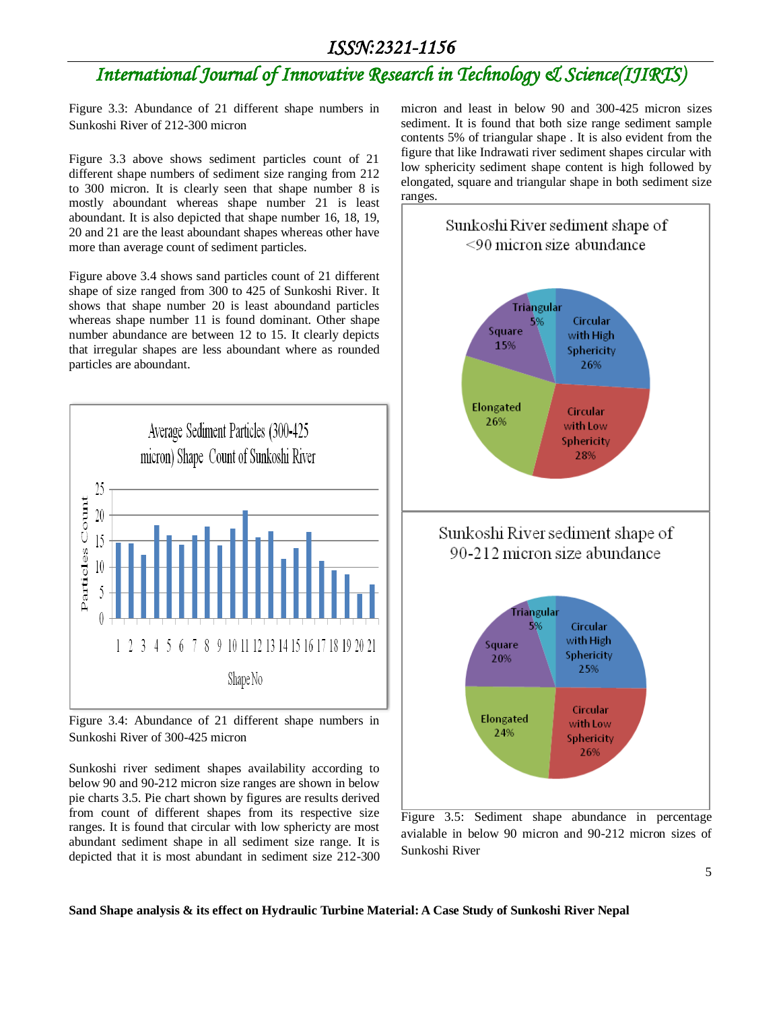### *International Journal of Innovative Research in Technology & Science(IJIRTS)*

Figure 3.3: Abundance of 21 different shape numbers in Sunkoshi River of 212-300 micron

Figure 3.3 above shows sediment particles count of 21 different shape numbers of sediment size ranging from 212 to 300 micron. It is clearly seen that shape number 8 is mostly aboundant whereas shape number 21 is least aboundant. It is also depicted that shape number 16, 18, 19, 20 and 21 are the least aboundant shapes whereas other have more than average count of sediment particles.

Figure above 3.4 shows sand particles count of 21 different shape of size ranged from 300 to 425 of Sunkoshi River. It shows that shape number 20 is least aboundand particles whereas shape number 11 is found dominant. Other shape number abundance are between 12 to 15. It clearly depicts that irregular shapes are less aboundant where as rounded particles are aboundant.



Figure 3.4: Abundance of 21 different shape numbers in Sunkoshi River of 300-425 micron

Sunkoshi river sediment shapes availability according to below 90 and 90-212 micron size ranges are shown in below pie charts 3.5. Pie chart shown by figures are results derived from count of different shapes from its respective size ranges. It is found that circular with low sphericty are most abundant sediment shape in all sediment size range. It is depicted that it is most abundant in sediment size 212-300

micron and least in below 90 and 300-425 micron sizes sediment. It is found that both size range sediment sample contents 5% of triangular shape . It is also evident from the figure that like Indrawati river sediment shapes circular with low sphericity sediment shape content is high followed by elongated, square and triangular shape in both sediment size ranges.



Figure 3.5: Sediment shape abundance in percentage avialable in below 90 micron and 90-212 micron sizes of Sunkoshi River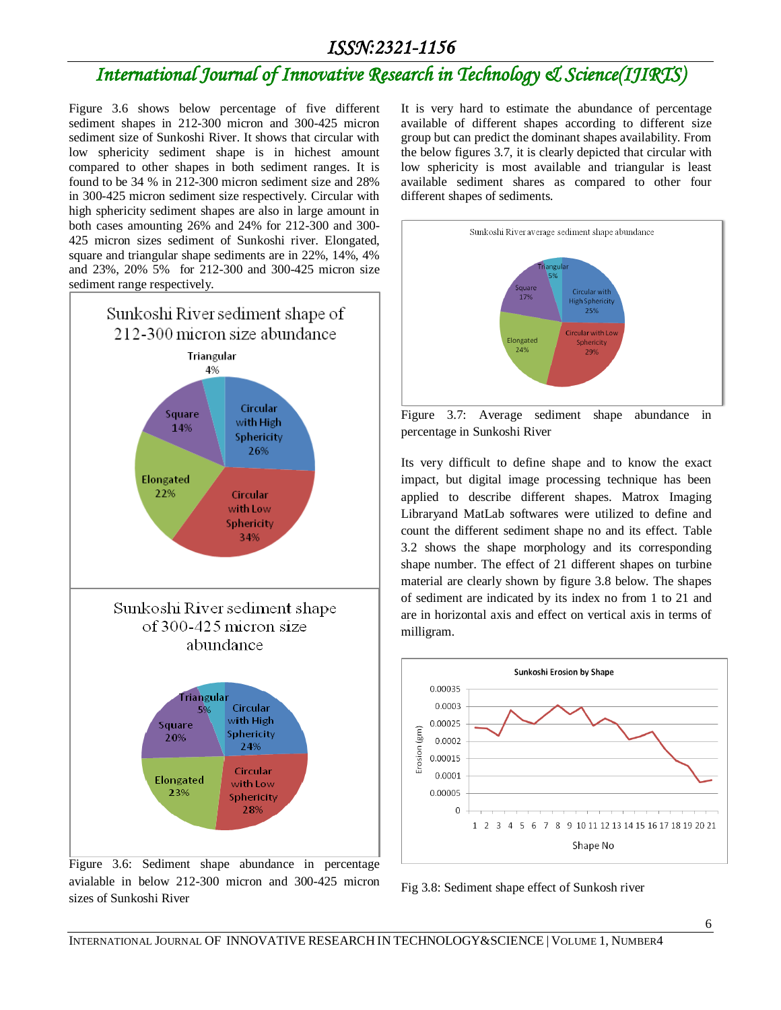## *International Journal of Innovative Research in Technology & Science(IJIRTS)*

Figure 3.6 shows below percentage of five different sediment shapes in 212-300 micron and 300-425 micron sediment size of Sunkoshi River. It shows that circular with low sphericity sediment shape is in hichest amount compared to other shapes in both sediment ranges. It is found to be 34 % in 212-300 micron sediment size and 28% in 300-425 micron sediment size respectively. Circular with high sphericity sediment shapes are also in large amount in both cases amounting 26% and 24% for 212-300 and 300- 425 micron sizes sediment of Sunkoshi river. Elongated, square and triangular shape sediments are in 22%, 14%, 4% and 23%, 20% 5% for 212-300 and 300-425 micron size sediment range respectively.



Figure 3.6: Sediment shape abundance in percentage avialable in below 212-300 micron and 300-425 micron sizes of Sunkoshi River

It is very hard to estimate the abundance of percentage available of different shapes according to different size group but can predict the dominant shapes availability. From the below figures 3.7, it is clearly depicted that circular with low sphericity is most available and triangular is least available sediment shares as compared to other four different shapes of sediments.



Figure 3.7: Average sediment shape abundance in percentage in Sunkoshi River

Its very difficult to define shape and to know the exact impact, but digital image processing technique has been applied to describe different shapes. Matrox Imaging Libraryand MatLab softwares were utilized to define and count the different sediment shape no and its effect. Table 3.2 shows the shape morphology and its corresponding shape number. The effect of 21 different shapes on turbine material are clearly shown by figure 3.8 below. The shapes of sediment are indicated by its index no from 1 to 21 and are in horizontal axis and effect on vertical axis in terms of milligram.



Fig 3.8: Sediment shape effect of Sunkosh river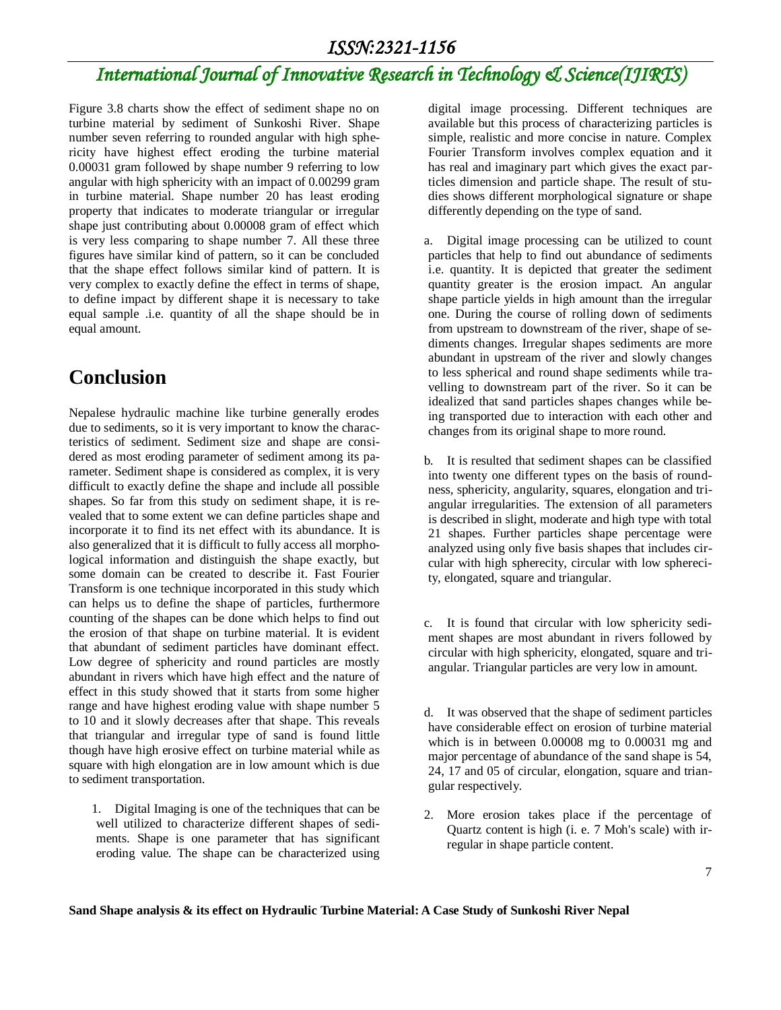Figure 3.8 charts show the effect of sediment shape no on turbine material by sediment of Sunkoshi River. Shape number seven referring to rounded angular with high sphericity have highest effect eroding the turbine material 0.00031 gram followed by shape number 9 referring to low angular with high sphericity with an impact of 0.00299 gram in turbine material. Shape number 20 has least eroding property that indicates to moderate triangular or irregular shape just contributing about 0.00008 gram of effect which is very less comparing to shape number 7. All these three figures have similar kind of pattern, so it can be concluded that the shape effect follows similar kind of pattern. It is very complex to exactly define the effect in terms of shape, to define impact by different shape it is necessary to take equal sample .i.e. quantity of all the shape should be in equal amount.

### **Conclusion**

Nepalese hydraulic machine like turbine generally erodes due to sediments, so it is very important to know the characteristics of sediment. Sediment size and shape are considered as most eroding parameter of sediment among its parameter. Sediment shape is considered as complex, it is very difficult to exactly define the shape and include all possible shapes. So far from this study on sediment shape, it is revealed that to some extent we can define particles shape and incorporate it to find its net effect with its abundance. It is also generalized that it is difficult to fully access all morphological information and distinguish the shape exactly, but some domain can be created to describe it. Fast Fourier Transform is one technique incorporated in this study which can helps us to define the shape of particles, furthermore counting of the shapes can be done which helps to find out the erosion of that shape on turbine material. It is evident that abundant of sediment particles have dominant effect. Low degree of sphericity and round particles are mostly abundant in rivers which have high effect and the nature of effect in this study showed that it starts from some higher range and have highest eroding value with shape number 5 to 10 and it slowly decreases after that shape. This reveals that triangular and irregular type of sand is found little though have high erosive effect on turbine material while as square with high elongation are in low amount which is due to sediment transportation.

1. Digital Imaging is one of the techniques that can be well utilized to characterize different shapes of sediments. Shape is one parameter that has significant eroding value. The shape can be characterized using

digital image processing. Different techniques are available but this process of characterizing particles is simple, realistic and more concise in nature. Complex Fourier Transform involves complex equation and it has real and imaginary part which gives the exact particles dimension and particle shape. The result of studies shows different morphological signature or shape differently depending on the type of sand.

a. Digital image processing can be utilized to count particles that help to find out abundance of sediments i.e. quantity. It is depicted that greater the sediment quantity greater is the erosion impact. An angular shape particle yields in high amount than the irregular one. During the course of rolling down of sediments from upstream to downstream of the river, shape of sediments changes. Irregular shapes sediments are more abundant in upstream of the river and slowly changes to less spherical and round shape sediments while travelling to downstream part of the river. So it can be idealized that sand particles shapes changes while being transported due to interaction with each other and changes from its original shape to more round.

b. It is resulted that sediment shapes can be classified into twenty one different types on the basis of roundness, sphericity, angularity, squares, elongation and triangular irregularities. The extension of all parameters is described in slight, moderate and high type with total 21 shapes. Further particles shape percentage were analyzed using only five basis shapes that includes circular with high spherecity, circular with low spherecity, elongated, square and triangular.

c. It is found that circular with low sphericity sediment shapes are most abundant in rivers followed by circular with high sphericity, elongated, square and triangular. Triangular particles are very low in amount.

d. It was observed that the shape of sediment particles have considerable effect on erosion of turbine material which is in between 0.00008 mg to 0.00031 mg and major percentage of abundance of the sand shape is 54, 24, 17 and 05 of circular, elongation, square and triangular respectively.

2. More erosion takes place if the percentage of Quartz content is high (i. e. 7 Moh's scale) with irregular in shape particle content.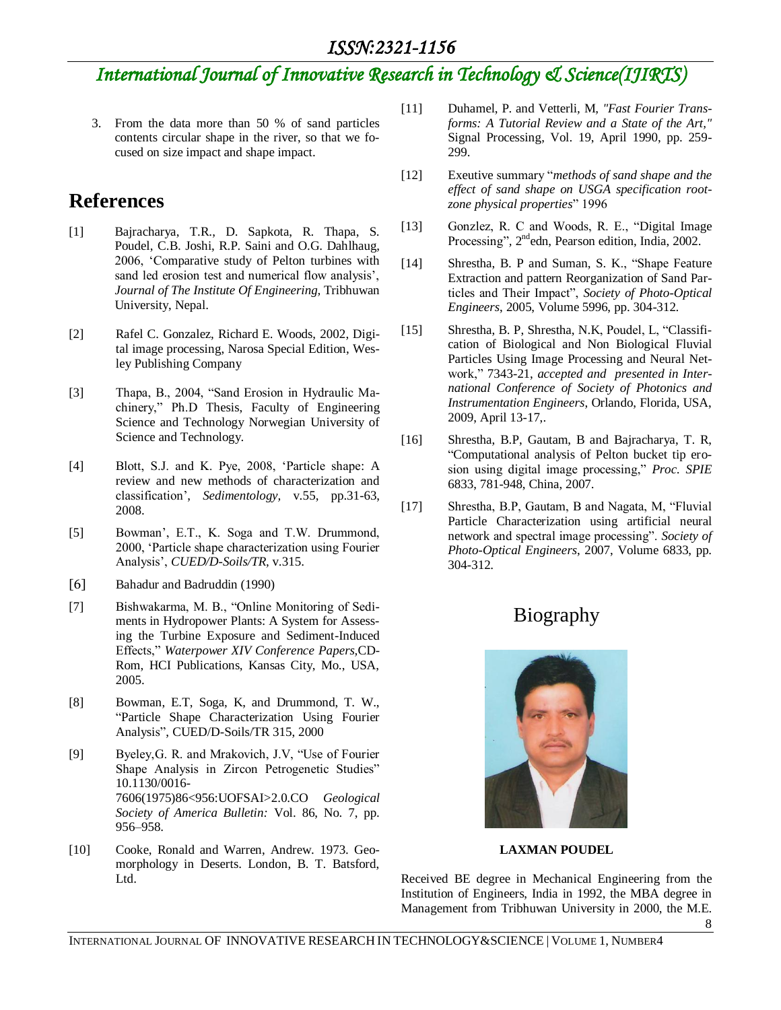## *International Journal of Innovative Research in Technology & Science(IJIRTS)*

3. From the data more than 50 % of sand particles contents circular shape in the river, so that we focused on size impact and shape impact.

#### **References**

- [1] Bajracharya, T.R., D. Sapkota, R. Thapa, S. Poudel, C.B. Joshi, R.P. Saini and O.G. Dahlhaug, 2006, "Comparative study of Pelton turbines with sand led erosion test and numerical flow analysis', *Journal of The Institute Of Engineering,* Tribhuwan University, Nepal.
- [2] Rafel C. Gonzalez, Richard E. Woods, 2002, Digital image processing, Narosa Special Edition, Wesley Publishing Company
- [3] Thapa, B., 2004, "Sand Erosion in Hydraulic Machinery," Ph.D Thesis, Faculty of Engineering Science and Technology Norwegian University of Science and Technology.
- [4] Blott, S.J. and K. Pye, 2008, "Particle shape: A review and new methods of characterization and classification", *Sedimentology,* v.55, pp.31-63, 2008.
- [5] Bowman", E.T., K. Soga and T.W. Drummond, 2000, "Particle shape characterization using Fourier Analysis", *CUED/D-Soils/TR,* v.315.
- [6] Bahadur and Badruddin (1990)
- [7] Bishwakarma, M. B., "Online Monitoring of Sediments in Hydropower Plants: A System for Assessing the Turbine Exposure and Sediment-Induced Effects," *Waterpower XIV Conference Papers,*CD-Rom, HCI Publications, Kansas City, Mo., USA, 2005.
- [8] Bowman, E.T, Soga, K, and Drummond, T. W., "Particle Shape Characterization Using Fourier Analysis", CUED/D-Soils/TR 315, 2000
- [9] Byeley,G. R. and Mrakovich, J.V, "Use of Fourier Shape Analysis in Zircon Petrogenetic Studies" 10.1130/0016- 7606(1975)86<956:UOFSAI>2.0.CO *Geological Society of America Bulletin:* Vol. 86, No. 7, pp. 956–958.
- [10] Cooke, Ronald and Warren, Andrew. 1973. Geomorphology in Deserts. London, B. T. Batsford, Ltd.
- [11] Duhamel, P. and Vetterli*,* M*, "Fast Fourier Transforms: A Tutorial Review and a State of the Art,"*  Signal Processing, Vol. 19, April 1990, pp. 259- 299.
- [12] Exeutive summary "*methods of sand shape and the effect of sand shape on USGA specification rootzone physical properties*" 1996
- [13] Gonzlez, R. C and Woods, R. E., "Digital Image Processing", 2<sup>nd</sup>edn, Pearson edition, India, 2002.
- [14] Shrestha, B. P and Suman, S. K., "Shape Feature Extraction and pattern Reorganization of Sand Particles and Their Impact", *Society of Photo-Optical Engineers*, 2005, Volume 5996, pp. 304-312.
- [15] Shrestha, B. P, Shrestha, N.K, Poudel, L, "Classification of Biological and Non Biological Fluvial Particles Using Image Processing and Neural Network," 7343-21, *accepted and presented in International Conference of Society of Photonics and Instrumentation Engineers*, Orlando, Florida, USA, 2009, April 13-17,.
- [16] Shrestha, B.P, Gautam, B and Bajracharya, T. R, "Computational analysis of Pelton bucket tip erosion using digital image processing," *Proc. SPIE* 6833, 781-948, China, 2007.
- [17] Shrestha, B.P, Gautam, B and Nagata, M, "Fluvial Particle Characterization using artificial neural network and spectral image processing". *Society of Photo-Optical Engineers*, 2007, Volume 6833, pp. 304-312.

### Biography



**LAXMAN POUDEL**

Received BE degree in Mechanical Engineering from the Institution of Engineers, India in 1992, the MBA degree in Management from Tribhuwan University in 2000, the M.E.